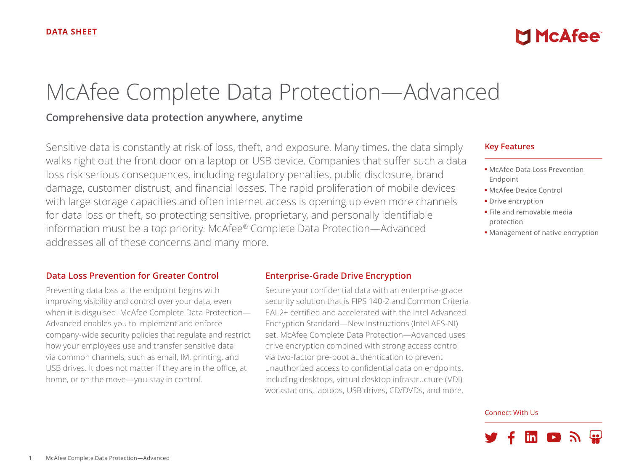# McAfee Complete Data Protection—Advanced

# **Comprehensive data protection anywhere, anytime**

Sensitive data is constantly at risk of loss, theft, and exposure. Many times, the data simply walks right out the front door on a laptop or USB device. Companies that suffer such a data loss risk serious consequences, including regulatory penalties, public disclosure, brand damage, customer distrust, and financial losses. The rapid proliferation of mobile devices with large storage capacities and often internet access is opening up even more channels for data loss or theft, so protecting sensitive, proprietary, and personally identifiable information must be a top priority. McAfee® Complete Data Protection—Advanced addresses all of these concerns and many more.

#### **Data Loss Prevention for Greater Control**

Preventing data loss at the endpoint begins with improving visibility and control over your data, even when it is disguised. McAfee Complete Data Protection— Advanced enables you to implement and enforce company-wide security policies that regulate and restrict how your employees use and transfer sensitive data via common channels, such as email, IM, printing, and USB drives. It does not matter if they are in the office, at home, or on the move—you stay in control.

#### **Enterprise-Grade Drive Encryption**

Secure your confidential data with an enterprise-grade security solution that is FIPS 140-2 and Common Criteria EAL2+ certified and accelerated with the Intel Advanced Encryption Standard—New Instructions (Intel AES-NI) set. McAfee Complete Data Protection—Advanced uses drive encryption combined with strong access control via two-factor pre-boot authentication to prevent unauthorized access to confidential data on endpoints, including desktops, virtual desktop infrastructure (VDI) workstations, laptops, USB drives, CD/DVDs, and more.

#### **Key Features**

■ McAfee Data Loss Prevention Endpoint

**MINCAfee** 

- McAfee Device Control
- Drive encryption
- File and removable media protection
- Management of native encryption

#### Connect With Us

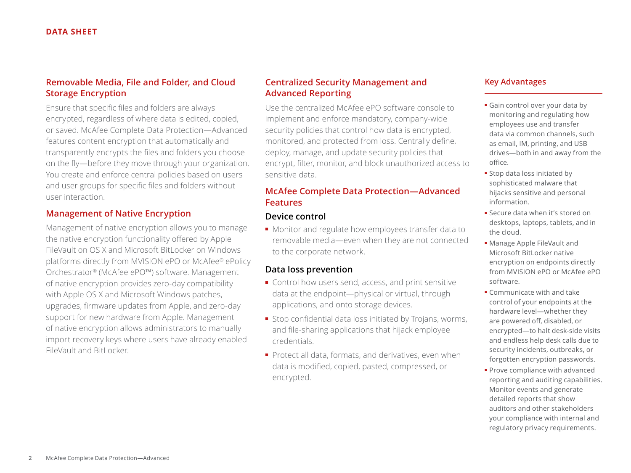## **Removable Media, File and Folder, and Cloud Storage Encryption**

Ensure that specific files and folders are always encrypted, regardless of where data is edited, copied, or saved. McAfee Complete Data Protection—Advanced features content encryption that automatically and transparently encrypts the files and folders you choose on the fly—before they move through your organization. You create and enforce central policies based on users and user groups for specific files and folders without user interaction.

## **Management of Native Encryption**

Management of native encryption allows you to manage the native encryption functionality offered by Apple FileVault on OS X and Microsoft BitLocker on Windows platforms directly from MVISION ePO or McAfee® ePolicy Orchestrator® (McAfee ePO™) software. Management of native encryption provides zero-day compatibility with Apple OS X and Microsoft Windows patches, upgrades, firmware updates from Apple, and zero-day support for new hardware from Apple. Management of native encryption allows administrators to manually import recovery keys where users have already enabled FileVault and BitLocker.

## **Centralized Security Management and Advanced Reporting**

Use the centralized McAfee ePO software console to implement and enforce mandatory, company-wide security policies that control how data is encrypted, monitored, and protected from loss. Centrally define, deploy, manage, and update security policies that encrypt, filter, monitor, and block unauthorized access to sensitive data.

## **McAfee Complete Data Protection—Advanced Features**

## **Device control**

■ Monitor and regulate how employees transfer data to removable media—even when they are not connected to the corporate network.

## **Data loss prevention**

- Control how users send, access, and print sensitive data at the endpoint—physical or virtual, through applications, and onto storage devices.
- Stop confidential data loss initiated by Trojans, worms, and file-sharing applications that hijack employee credentials.
- Protect all data, formats, and derivatives, even when data is modified, copied, pasted, compressed, or encrypted.

## **Key Advantages**

- Gain control over your data by monitoring and regulating how employees use and transfer data via common channels, such as email, IM, printing, and USB drives—both in and away from the office.
- Stop data loss initiated by sophisticated malware that hijacks sensitive and personal information.
- Secure data when it's stored on desktops, laptops, tablets, and in the cloud.
- Manage Apple FileVault and Microsoft BitLocker native encryption on endpoints directly from MVISION ePO or McAfee ePO software.
- Communicate with and take control of your endpoints at the hardware level—whether they are powered off, disabled, or encrypted—to halt desk-side visits and endless help desk calls due to security incidents, outbreaks, or forgotten encryption passwords.
- Prove compliance with advanced reporting and auditing capabilities. Monitor events and generate detailed reports that show auditors and other stakeholders your compliance with internal and regulatory privacy requirements.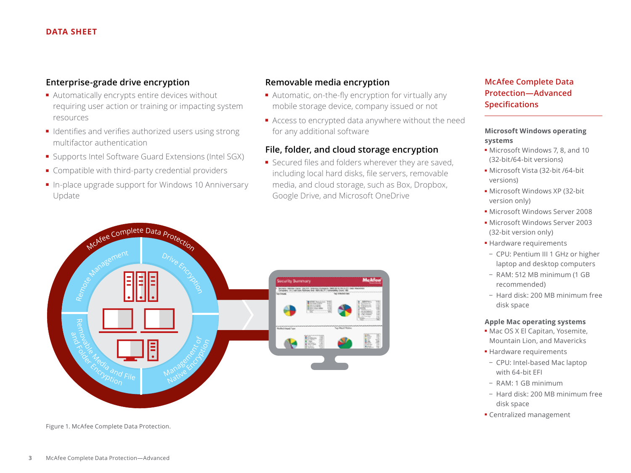#### **DATA SHEET**

#### **Enterprise-grade drive encryption**

- Automatically encrypts entire devices without requiring user action or training or impacting system resources
- Identifies and verifies authorized users using strong multifactor authentication
- Supports Intel Software Guard Extensions (Intel SGX)
- Compatible with third-party credential providers
- In-place upgrade support for Windows 10 Anniversary Update

## **Removable media encryption**

- Automatic, on-the-fly encryption for virtually any mobile storage device, company issued or not
- Access to encrypted data anywhere without the need for any additional software

## **File, folder, and cloud storage encryption**

■ Secured files and folders wherever they are saved, including local hard disks, file servers, removable media, and cloud storage, such as Box, Dropbox, Google Drive, and Microsoft OneDrive



Figure 1. McAfee Complete Data Protection.

## **McAfee Complete Data Protection—Advanced Specifications**

#### **Microsoft Windows operating systems**

- Microsoft Windows 7, 8, and 10 (32-bit/64-bit versions)
- Microsoft Vista (32-bit /64-bit versions)
- Microsoft Windows XP (32-bit version only)
- Microsoft Windows Server 2008
- Microsoft Windows Server 2003 (32-bit version only)
- Hardware requirements
- − CPU: Pentium III 1 GHz or higher laptop and desktop computers
- − RAM: 512 MB minimum (1 GB recommended)
- − Hard disk: 200 MB minimum free disk space

#### **Apple Mac operating systems**

- Mac OS X El Capitan, Yosemite, Mountain Lion, and Mavericks
- Hardware requirements
- − CPU: Intel-based Mac laptop with 64-bit EFI
- − RAM: 1 GB minimum
- − Hard disk: 200 MB minimum free disk space
- Centralized management